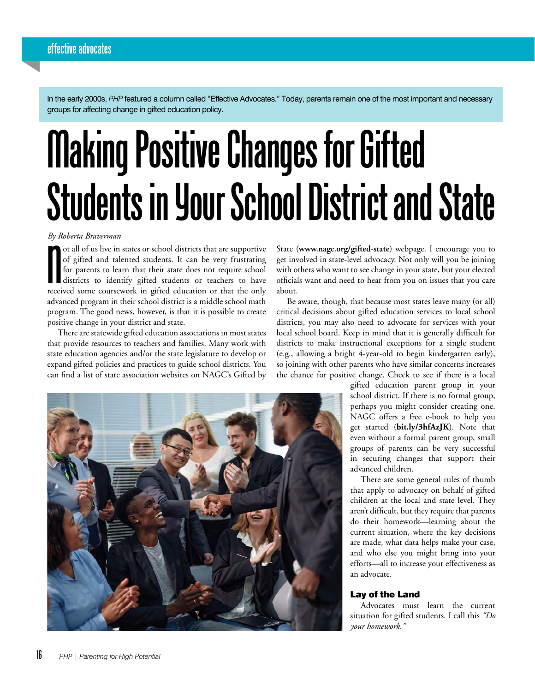In the early 2000s, *PHP* featured a column called "Effective Advocates." Today, parents remain one of the most important and necessary groups for affecting change in gifted education policy.

# **Making Positive Changes for Gifted Students in Your School District and State**

*By Roberta Braverman*

By Roberta Braverman<br>
ot all of us live in states or school districts that are supportive<br>
of gifted and talented students. It can be very frustrating<br>
for parents to learn that their state does not require school<br>
distric ot all of us live in states or school districts that are supportive of gifted and talented students. It can be very frustrating for parents to learn that their state does not require school districts to identify gifted students or teachers to have advanced program in their school district is a middle school math program. The good news, however, is that it is possible to create positive change in your district and state.

There are statewide gifted education associations in most states that provide resources to teachers and families. Many work with state education agencies and/or the state legislature to develop or expand gifted policies and practices to guide school districts. You can find a list of state association websites on NAGC's Gifted by State (**[www.nagc.org/gifted-state](https://www.nagc.org/gifted-state)**) webpage. I encourage you to get involved in state-level advocacy. Not only will you be joining with others who want to see change in your state, but your elected officials want and need to hear from you on issues that you care about.

Be aware, though, that because most states leave many (or all) critical decisions about gifted education services to local school districts, you may also need to advocate for services with your local school board. Keep in mind that it is generally difficult for districts to make instructional exceptions for a single student (e.g., allowing a bright 4-year-old to begin kindergarten early), so joining with other parents who have similar concerns increases the chance for positive change. Check to see if there is a local



gifted education parent group in your school district. If there is no formal group, perhaps you might consider creating one. NAGC offers a free e-book to help you get started (**bit.ly/3hfAzJK**). Note that even without a formal parent group, small groups of parents can be very successful in securing changes that support their advanced children.

There are some general rules of thumb that apply to advocacy on behalf of gifted children at the local and state level. They aren't difficult, but they require that parents do their homework—learning about the current situation, where the key decisions are made, what data helps make your case, and who else you might bring into your efforts—all to increase your effectiveness as an advocate.

#### Lay of the Land

Advocates must learn the current situation for gifted students. I call this *"Do your homework."*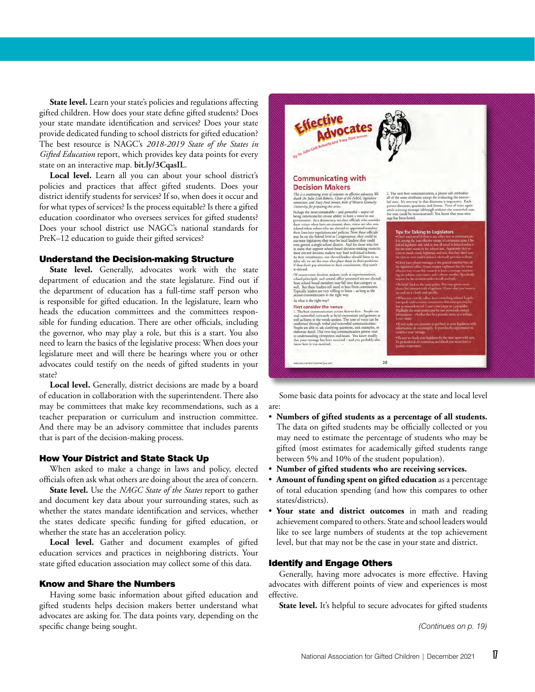**State level.** Learn your state's policies and regulations affecting gifted children. How does your state define gifted students? Does your state mandate identification and services? Does your state provide dedicated funding to school districts for gifted education? The best resource is NAGC's *2018-2019 State of the States in Gifted Education* report, which provides key data points for every state on an interactive map. **[bit.ly/3CqasIL](https://bit.ly/3CqasIL)**.

**Local level.** Learn all you can about your school district's policies and practices that affect gifted students. Does your district identify students for services? If so, when does it occur and for what types of services? Is the process equitable? Is there a gifted education coordinator who oversees services for gifted students? Does your school district use NAGC's national standards for PreK–12 education to guide their gifted services?

#### Understand the Decision-making Structure

State level. Generally, advocates work with the state department of education and the state legislature. Find out if the department of education has a full-time staff person who is responsible for gifted education. In the legislature, learn who heads the education committees and the committees responsible for funding education. There are other officials, including the governor, who may play a role, but this is a start. You also need to learn the basics of the legislative process: When does your legislature meet and will there be hearings where you or other advocates could testify on the needs of gifted students in your state?

**Local level.** Generally, district decisions are made by a board of education in collaboration with the superintendent. There also may be committees that make key recommendations, such as a teacher preparation or curriculum and instruction committee. And there may be an advisory committee that includes parents that is part of the decision-making process.

#### How Your District and State Stack Up

When asked to make a change in laws and policy, elected officials often ask what others are doing about the area of concern.

**State level.** Use the *NAGC State of the States* report to gather and document key data about your surrounding states, such as whether the states mandate identification and services, whether the states dedicate specific funding for gifted education, or whether the state has an acceleration policy.

**Local level.** Gather and document examples of gifted education services and practices in neighboring districts. Your state gifted education association may collect some of this data.

#### Know and Share the Numbers

Having some basic information about gifted education and gifted students helps decision makers better understand what advocates are asking for. The data points vary, depending on the specific change being sought.



Some basic data points for advocacy at the state and local level are:

- **Numbers of gifted students as a percentage of all students.**  The data on gifted students may be officially collected or you may need to estimate the percentage of students who may be gifted (most estimates for academically gifted students range between 5% and 10% of the student population).
- **Number of gifted students who are receiving services.**
- **Amount of funding spent on gifted education** as a percentage of total education spending (and how this compares to other states/districts).
- Your state and district outcomes in math and reading achievement compared to others. State and school leaders would like to see large numbers of students at the top achievement level, but that may not be the case in your state and district.

#### Identify and Engage Others

Generally, having more advocates is more effective. Having advocates with different points of view and experiences is most effective.

State level. It's helpful to secure advocates for gifted students

*(Continues on p. 19)*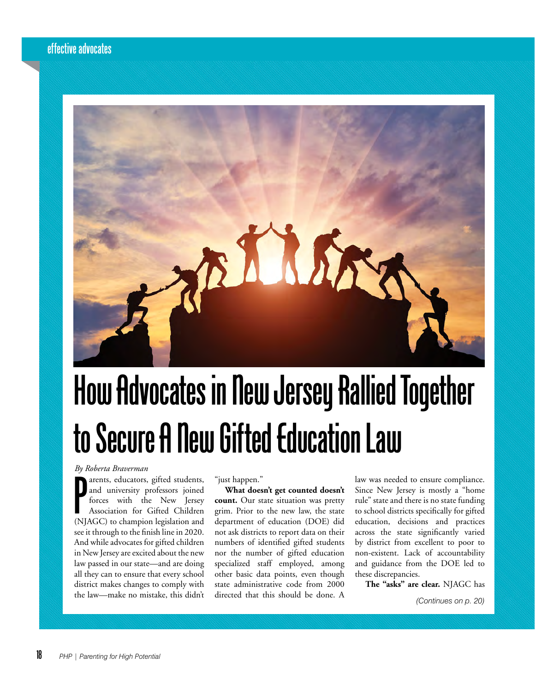

## **How Advocates in New Jersey Rallied Together to Secure A New Gifted Education Law**

*By Roberta Braverman*

By Roberta Braverman<br>
arents, educators, gifted students,<br>
and university professors joined<br>
forces with the New Jersey<br>
Association for Gifted Children<br>
(NJAGC) to champion legislation and arents, educators, gifted students, and university professors joined forces with the New Jersey Association for Gifted Children see it through to the finish line in 2020. And while advocates for gifted children in New Jersey are excited about the new law passed in our state—and are doing all they can to ensure that every school district makes changes to comply with the law—make no mistake, this didn't

"just happen."

**What doesn't get counted doesn't count.** Our state situation was pretty grim. Prior to the new law, the state department of education (DOE) did not ask districts to report data on their numbers of identified gifted students nor the number of gifted education specialized staff employed, among other basic data points, even though state administrative code from 2000 directed that this should be done. A

law was needed to ensure compliance. Since New Jersey is mostly a "home rule" state and there is no state funding to school districts specifically for gifted education, decisions and practices across the state significantly varied by district from excellent to poor to non-existent. Lack of accountability and guidance from the DOE led to these discrepancies.

**The "asks" are clear.** NJAGC has

*(Continues on p. 20)*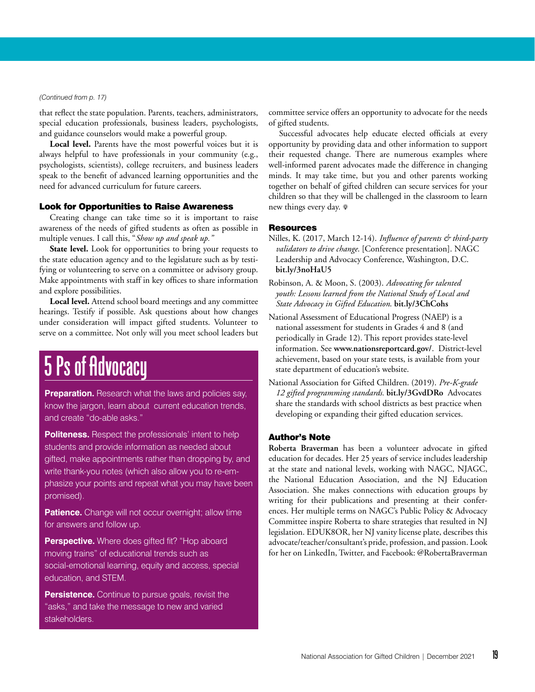#### *(Continued from p. 17)*

that reflect the state population. Parents, teachers, administrators, special education professionals, business leaders, psychologists, and guidance counselors would make a powerful group.

**Local level.** Parents have the most powerful voices but it is always helpful to have professionals in your community (e.g., psychologists, scientists), college recruiters, and business leaders speak to the benefit of advanced learning opportunities and the need for advanced curriculum for future careers.

#### Look for Opportunities to Raise Awareness

Creating change can take time so it is important to raise awareness of the needs of gifted students as often as possible in multiple venues. I call this, "*Show up and speak up."*

State level. Look for opportunities to bring your requests to the state education agency and to the legislature such as by testifying or volunteering to serve on a committee or advisory group. Make appointments with staff in key offices to share information and explore possibilities.

**Local level.** Attend school board meetings and any committee hearings. Testify if possible. Ask questions about how changes under consideration will impact gifted students. Volunteer to serve on a committee. Not only will you meet school leaders but

### **5 Ps of Advocacy**

**Preparation.** Research what the laws and policies say, know the jargon, learn about current education trends, and create "do-able asks."

**Politeness.** Respect the professionals' intent to help students and provide information as needed about gifted, make appointments rather than dropping by, and write thank-you notes (which also allow you to re-emphasize your points and repeat what you may have been promised).

**Patience.** Change will not occur overnight; allow time for answers and follow up.

**Perspective.** Where does gifted fit? "Hop aboard moving trains" of educational trends such as social-emotional learning, equity and access, special education, and STEM.

**Persistence.** Continue to pursue goals, revisit the "asks," and take the message to new and varied stakeholders.

committee service offers an opportunity to advocate for the needs of gifted students.

Successful advocates help educate elected officials at every opportunity by providing data and other information to support their requested change. There are numerous examples where well-informed parent advocates made the difference in changing minds. It may take time, but you and other parents working together on behalf of gifted children can secure services for your children so that they will be challenged in the classroom to learn new things every day. <sup>0</sup>

#### **Resources**

Nilles, K. (2017, March 12-14). *Influence of parents & third-party validators to drive change*. [Conference presentation]. NAGC Leadership and Advocacy Conference, Washington, D.C. **bit.ly/3noHaU5**

Robinson, A. & Moon, S. (2003). *[Advocating for talented](http://www.nagc.org/sites/default/files/Advocacy/2017March/Advocating%20for%20Talented%20Youth.pdf)  [youth: Lessons learned from the National Study of Local and](http://www.nagc.org/sites/default/files/Advocacy/2017March/Advocating%20for%20Talented%20Youth.pdf)  State [Advocacy in Gifted Education](http://www.nagc.org/sites/default/files/Advocacy/2017March/Advocating%20for%20Talented%20Youth.pdf)*. **bit.ly/3ChCohs**

- National Assessment of Educational Progress (NAEP) is a national assessment for students in Grades 4 and 8 (and periodically in Grade 12). This report provides state-level information. See **[www.nationsreportcard.gov/](https://www.nationsreportcard.gov/)**. District-level achievement, based on your state tests, is available from your state department of education's website.
- National Association for Gifted Children. (2019). *Pre-K-grade 12 gifted programming standards.* **[bit.ly/3GvdDRo](https://bit.ly/3GvdDRo)** Advocates share the standards with school districts as best practice when developing or expanding their gifted education services.

#### Author's Note

**Roberta Braverman** has been a volunteer advocate in gifted education for decades. Her 25 years of service includes leadership at the state and national levels, working with NAGC, NJAGC, the National Education Association, and the NJ Education Association. She makes connections with education groups by writing for their publications and presenting at their conferences. Her multiple terms on NAGC's Public Policy & Advocacy Committee inspire Roberta to share strategies that resulted in NJ legislation. EDUK8OR, her NJ vanity license plate, describes this advocate/teacher/consultant's pride, profession, and passion. Look for her on [LinkedIn,](https://www.linkedin.com/in/robertabraverman/) [Twitter](https://twitter.com/RobertaBraverma), and [Facebook:](https://www.facebook.com/profile.php?id=100001869007741) @RobertaBraverman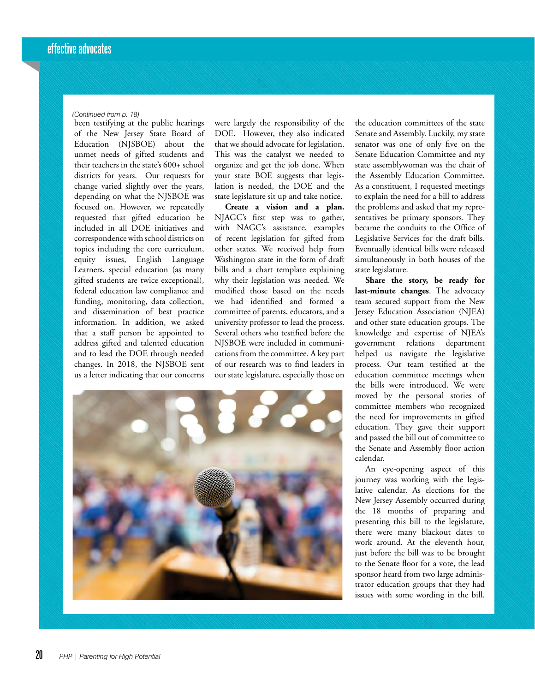#### *(Continued from p. 18)*

been testifying at the public hearings of the New Jersey State Board of Education (NJSBOE) about the unmet needs of gifted students and their teachers in the state's 600+ school districts for years. Our requests for change varied slightly over the years, depending on what the NJSBOE was focused on. However, we repeatedly requested that gifted education be included in all DOE initiatives and correspondence with school districts on topics including the core curriculum, equity issues, English Language Learners, special education (as many gifted students are twice exceptional), federal education law compliance and funding, monitoring, data collection, and dissemination of best practice information. In addition, we asked that a staff person be appointed to address gifted and talented education and to lead the DOE through needed changes. In 2018, the NJSBOE sent us a letter indicating that our concerns

were largely the responsibility of the DOE. However, they also indicated that we should advocate for legislation. This was the catalyst we needed to organize and get the job done. When your state BOE suggests that legislation is needed, the DOE and the state legislature sit up and take notice.

**Create a vision and a plan.**  NJAGC's first step was to gather, with NAGC's assistance, examples of recent legislation for gifted from other states. We received help from Washington state in the form of draft bills and a chart template explaining why their legislation was needed. We modified those based on the needs we had identified and formed a committee of parents, educators, and a university professor to lead the process. Several others who testified before the NJSBOE were included in communications from the committee. A key part of our research was to find leaders in our state legislature, especially those on

the education committees of the state Senate and Assembly. Luckily, my state senator was one of only five on the Senate Education Committee and my state assemblywoman was the chair of the Assembly Education Committee. As a constituent, I requested meetings to explain the need for a bill to address the problems and asked that my representatives be primary sponsors. They became the conduits to the Office of Legislative Services for the draft bills. Eventually identical bills were released simultaneously in both houses of the state legislature.

**Share the story, be ready for last-minute changes**. The advocacy team secured support from the New Jersey Education Association (NJEA) and other state education groups. The knowledge and expertise of NJEA's government relations department helped us navigate the legislative process. Our team testified at the education committee meetings when the bills were introduced. We were moved by the personal stories of committee members who recognized the need for improvements in gifted education. They gave their support and passed the bill out of committee to the Senate and Assembly floor action calendar.

An eye-opening aspect of this journey was working with the legislative calendar. As elections for the New Jersey Assembly occurred during the 18 months of preparing and presenting this bill to the legislature, there were many blackout dates to work around. At the eleventh hour, just before the bill was to be brought to the Senate floor for a vote, the lead sponsor heard from two large administrator education groups that they had issues with some wording in the bill.